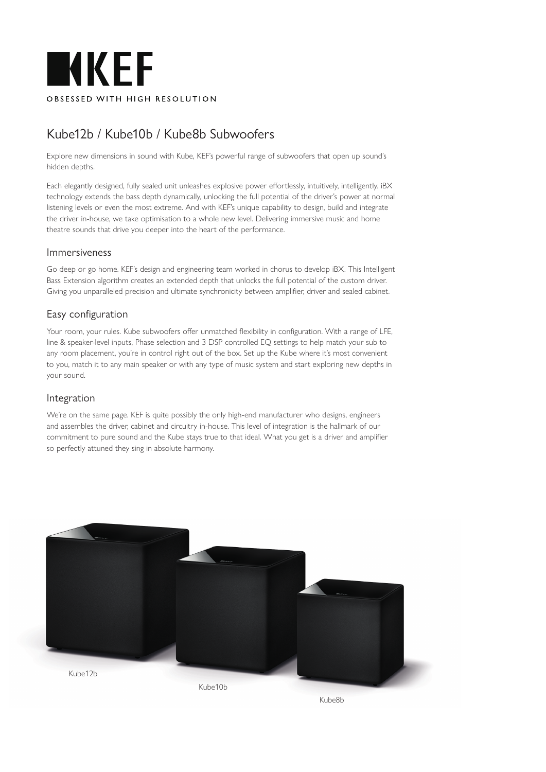

# Kube12b / Kube10b / Kube8b Subwoofers

Explore new dimensions in sound with Kube, KEF's powerful range of subwoofers that open up sound's hidden depths.

Each elegantly designed, fully sealed unit unleashes explosive power effortlessly, intuitively, intelligently. iBX technology extends the bass depth dynamically, unlocking the full potential of the driver's power at normal listening levels or even the most extreme. And with KEF's unique capability to design, build and integrate the driver in-house, we take optimisation to a whole new level. Delivering immersive music and home theatre sounds that drive you deeper into the heart of the performance.

### Immersiveness

Go deep or go home. KEF's design and engineering team worked in chorus to develop iBX. This Intelligent Bass Extension algorithm creates an extended depth that unlocks the full potential of the custom driver. Giving you unparalleled precision and ultimate synchronicity between amplifier, driver and sealed cabinet.

# Easy configuration

Your room, your rules. Kube subwoofers offer unmatched flexibility in configuration. With a range of LFE, line & speaker-level inputs, Phase selection and 3 DSP controlled EQ settings to help match your sub to any room placement, you're in control right out of the box. Set up the Kube where it's most convenient to you, match it to any main speaker or with any type of music system and start exploring new depths in your sound.

#### Integration

We're on the same page. KEF is quite possibly the only high-end manufacturer who designs, engineers and assembles the driver, cabinet and circuitry in-house. This level of integration is the hallmark of our commitment to pure sound and the Kube stays true to that ideal. What you get is a driver and amplifier so perfectly attuned they sing in absolute harmony.



Kube8b